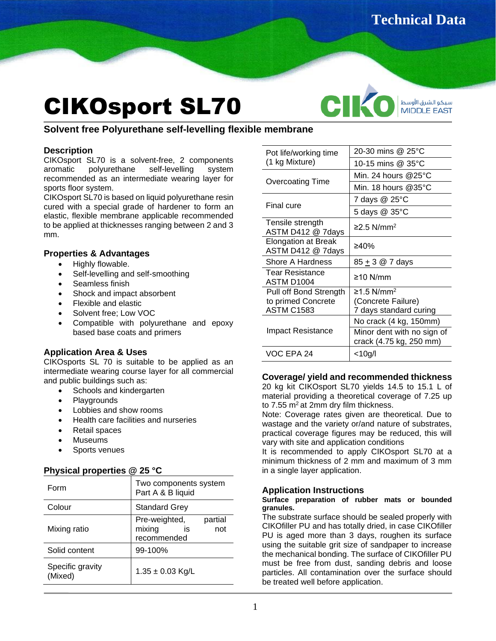# CIKOsport SL70

CIK سيكو الشرق الأوسط **MIDDLE EAST** 

# **Solvent free Polyurethane self-levelling flexible membrane**

# **Description**

CIKOsport SL70 is a solvent-free, 2 components aromatic polyurethane self-levelling system recommended as an intermediate wearing layer for sports floor system.

CIKOsport SL70 is based on liquid polyurethane resin cured with a special grade of hardener to form an elastic, flexible membrane applicable recommended to be applied at thicknesses ranging between 2 and 3 mm.

# **Properties & Advantages**

- Highly flowable.
- Self-levelling and self-smoothing
- Seamless finish
- Shock and impact absorbent
- Flexible and elastic
- Solvent free; Low VOC
- Compatible with polyurethane and epoxy based base coats and primers

# **Application Area & Uses**

CIKOsports SL 70 is suitable to be applied as an intermediate wearing course layer for all commercial and public buildings such as:

- Schools and kindergarten
- **Playgrounds**
- Lobbies and show rooms
- Health care facilities and nurseries
- Retail spaces
- Museums
- Sports venues

# **Physical properties @ 25 °C**

| Form                        | Two components system<br>Part A & B liquid                     |
|-----------------------------|----------------------------------------------------------------|
| Colour                      | <b>Standard Grey</b>                                           |
| Mixing ratio                | partial<br>Pre-weighted,<br>mixing<br>not<br>İS<br>recommended |
| Solid content               | 99-100%                                                        |
| Specific gravity<br>(Mixed) | $1.35 \pm 0.03$ Kg/L                                           |

| Pot life/working time<br>(1 kg Mixture)  | 20-30 mins @ 25°C                                     |
|------------------------------------------|-------------------------------------------------------|
|                                          | 10-15 mins @ 35°C                                     |
| Overcoating Time                         | Min. 24 hours $@25^\circ C$                           |
|                                          | Min. 18 hours $@35$ °C                                |
| Final cure                               | 7 days @ 25°C                                         |
|                                          | 5 days @ 35°C                                         |
| Tensile strength<br>ASTM D412 @ 7days    | $≥2.5$ N/mm <sup>2</sup>                              |
| Elongation at Break<br>ASTM D412 @ 7days | ≥40%                                                  |
| Shore A Hardness                         | 85 + 3 @ 7 days                                       |
| Tear Resistance<br>ASTM D1004            | ≥10 N/mm                                              |
| Pull off Bond Strength                   | $≥1.5$ N/mm <sup>2</sup>                              |
| to primed Concrete                       | (Concrete Failure)                                    |
| <b>ASTM C1583</b>                        | 7 days standard curing                                |
| Impact Resistance                        | No crack (4 kg, 150mm)                                |
|                                          | Minor dent with no sign of<br>crack (4.75 kg, 250 mm) |
| VOC EPA 24                               | $<$ 10g/l                                             |

# **Coverage/ yield and recommended thickness**

20 kg kit CIKOsport SL70 yields 14.5 to 15.1 L of material providing a theoretical coverage of 7.25 up to  $7.55$  m<sup>2</sup> at 2mm dry film thickness.

Note: Coverage rates given are theoretical. Due to wastage and the variety or/and nature of substrates, practical coverage figures may be reduced, this will vary with site and application conditions

It is recommended to apply CIKOsport SL70 at a minimum thickness of 2 mm and maximum of 3 mm in a single layer application.

# **Application Instructions**

#### **Surface preparation of rubber mats or bounded granules.**

The substrate surface should be sealed properly with CIKOfiller PU and has totally dried, in case CIKOfiller PU is aged more than 3 days, roughen its surface using the suitable grit size of sandpaper to increase the mechanical bonding. The surface of CIKOfiller PU must be free from dust, sanding debris and loose particles. All contamination over the surface should be treated well before application.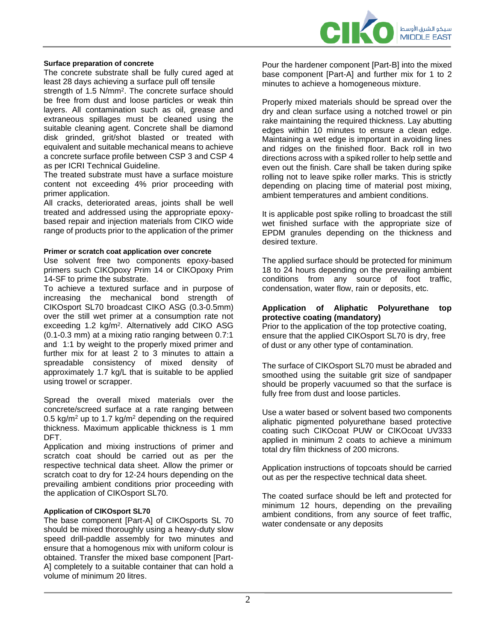

#### **Surface preparation of concrete**

The concrete substrate shall be fully cured aged at least 28 days achieving a surface pull off tensile strength of 1.5 N/mm<sup>2</sup>. The concrete surface should be free from dust and loose particles or weak thin layers. All contamination such as oil, grease and extraneous spillages must be cleaned using the suitable cleaning agent. Concrete shall be diamond disk grinded, grit/shot blasted or treated with equivalent and suitable mechanical means to achieve a concrete surface profile between CSP 3 and CSP 4 as per ICRI Technical Guideline.

The treated substrate must have a surface moisture content not exceeding 4% prior proceeding with primer application.

All cracks, deteriorated areas, joints shall be well treated and addressed using the appropriate epoxybased repair and injection materials from CIKO wide range of products prior to the application of the primer

#### **Primer or scratch coat application over concrete**

Use solvent free two components epoxy-based primers such CIKOpoxy Prim 14 or CIKOpoxy Prim 14-SF to prime the substrate.

To achieve a textured surface and in purpose of increasing the mechanical bond strength of CIKOsport SL70 broadcast CIKO ASG (0.3-0.5mm) over the still wet primer at a consumption rate not exceeding 1.2 kg/m<sup>2</sup>. Alternatively add CIKO ASG (0.1-0.3 mm) at a mixing ratio ranging between 0.7:1 and 1:1 by weight to the properly mixed primer and further mix for at least 2 to 3 minutes to attain a spreadable consistency of mixed density of approximately 1.7 kg/L that is suitable to be applied using trowel or scrapper.

Spread the overall mixed materials over the concrete/screed surface at a rate ranging between 0.5 kg/m<sup>2</sup> up to 1.7 kg/m<sup>2</sup> depending on the required thickness. Maximum applicable thickness is 1 mm DFT.

Application and mixing instructions of primer and scratch coat should be carried out as per the respective technical data sheet. Allow the primer or scratch coat to dry for 12-24 hours depending on the prevailing ambient conditions prior proceeding with the application of CIKOsport SL70.

#### **Application of CIKOsport SL70**

The base component [Part-A] of CIKOsports SL 70 should be mixed thoroughly using a heavy-duty slow speed drill-paddle assembly for two minutes and ensure that a homogenous mix with uniform colour is obtained. Transfer the mixed base component [Part-A] completely to a suitable container that can hold a volume of minimum 20 litres.

Pour the hardener component [Part-B] into the mixed base component [Part-A] and further mix for 1 to 2 minutes to achieve a homogeneous mixture.

Properly mixed materials should be spread over the dry and clean surface using a notched trowel or pin rake maintaining the required thickness. Lay abutting edges within 10 minutes to ensure a clean edge. Maintaining a wet edge is important in avoiding lines and ridges on the finished floor. Back roll in two directions across with a spiked roller to help settle and even out the finish. Care shall be taken during spike rolling not to leave spike roller marks. This is strictly depending on placing time of material post mixing, ambient temperatures and ambient conditions.

It is applicable post spike rolling to broadcast the still wet finished surface with the appropriate size of EPDM granules depending on the thickness and desired texture.

The applied surface should be protected for minimum 18 to 24 hours depending on the prevailing ambient conditions from any source of foot traffic, condensation, water flow, rain or deposits, etc.

#### **Application of Aliphatic Polyurethane top protective coating (mandatory)**

Prior to the application of the top protective coating, ensure that the applied CIKOsport SL70 is dry, free of dust or any other type of contamination.

The surface of CIKOsport SL70 must be abraded and smoothed using the suitable grit size of sandpaper should be properly vacuumed so that the surface is fully free from dust and loose particles.

Use a water based or solvent based two components aliphatic pigmented polyurethane based protective coating such CIKOcoat PUW or CIKOcoat UV333 applied in minimum 2 coats to achieve a minimum total dry film thickness of 200 microns.

Application instructions of topcoats should be carried out as per the respective technical data sheet.

The coated surface should be left and protected for minimum 12 hours, depending on the prevailing ambient conditions, from any source of feet traffic, water condensate or any deposits